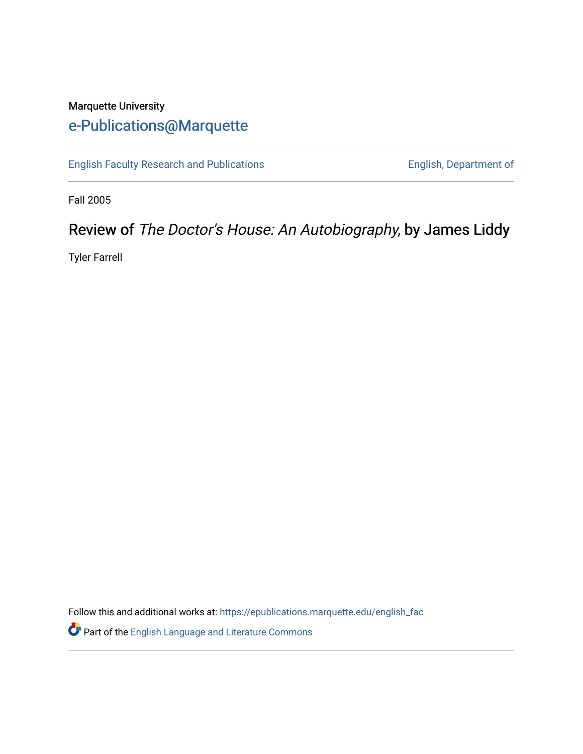## Marquette University [e-Publications@Marquette](https://epublications.marquette.edu/)

[English Faculty Research and Publications](https://epublications.marquette.edu/english_fac) **English, Department of** English, Department of

Fall 2005

# Review of The Doctor's House: An Autobiography, by James Liddy

Tyler Farrell

Follow this and additional works at: [https://epublications.marquette.edu/english\\_fac](https://epublications.marquette.edu/english_fac?utm_source=epublications.marquette.edu%2Fenglish_fac%2F525&utm_medium=PDF&utm_campaign=PDFCoverPages)

**P** Part of the [English Language and Literature Commons](http://network.bepress.com/hgg/discipline/455?utm_source=epublications.marquette.edu%2Fenglish_fac%2F525&utm_medium=PDF&utm_campaign=PDFCoverPages)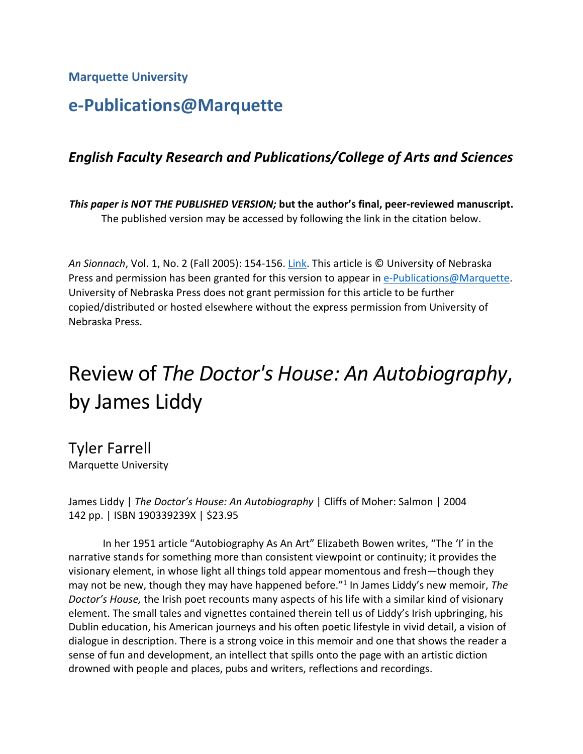**Marquette University**

# **e-Publications@Marquette**

### *English Faculty Research and Publications/College of Arts and Sciences*

*This paper is NOT THE PUBLISHED VERSION;* **but the author's final, peer-reviewed manuscript.**  The published version may be accessed by following the link in the citation below.

*An Sionnach*, Vol. 1, No. 2 (Fall 2005): 154-156. [Link.](https://muse.jhu.edu/journal/435) This article is © University of Nebraska Press and permission has been granted for this version to appear in [e-Publications@Marquette.](http://epublications.marquette.edu/) University of Nebraska Press does not grant permission for this article to be further copied/distributed or hosted elsewhere without the express permission from University of Nebraska Press.

# Review of *The Doctor's House: An Autobiography*, by James Liddy

Tyler Farrell Marquette University

James Liddy | *The Doctor's House: An Autobiography* | Cliffs of Moher: Salmon | 2004 142 pp. | ISBN 190339239X | \$23.95

In her 1951 article "Autobiography As An Art" Elizabeth Bowen writes, "The 'I' in the narrative stands for something more than consistent viewpoint or continuity; it provides the visionary element, in whose light all things told appear momentous and fresh—though they may not be new, though they may have happened before."1 In James Liddy's new memoir, *The Doctor's House,* the Irish poet recounts many aspects of his life with a similar kind of visionary element. The small tales and vignettes contained therein tell us of Liddy's Irish upbringing, his Dublin education, his American journeys and his often poetic lifestyle in vivid detail, a vision of dialogue in description. There is a strong voice in this memoir and one that shows the reader a sense of fun and development, an intellect that spills onto the page with an artistic diction drowned with people and places, pubs and writers, reflections and recordings.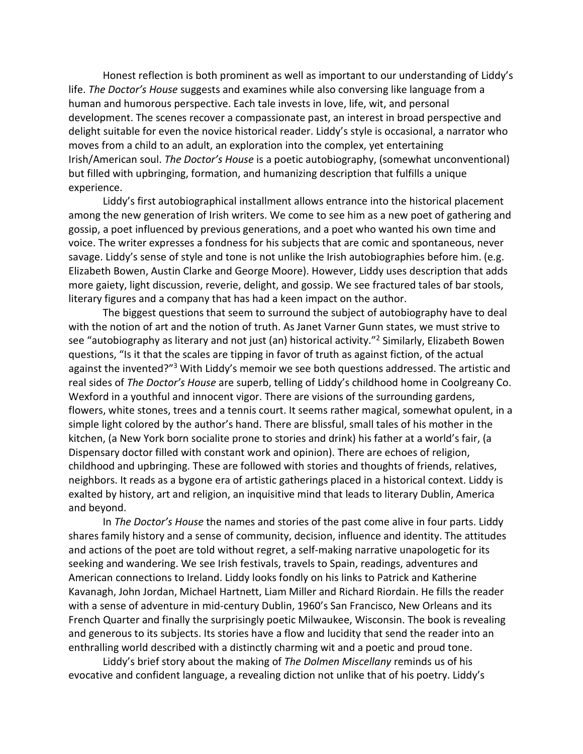Honest reflection is both prominent as well as important to our understanding of Liddy's life. *The Doctor's House* suggests and examines while also conversing like language from a human and humorous perspective. Each tale invests in love, life, wit, and personal development. The scenes recover a compassionate past, an interest in broad perspective and delight suitable for even the novice historical reader. Liddy's style is occasional, a narrator who moves from a child to an adult, an exploration into the complex, yet entertaining Irish/American soul. *The Doctor's House* is a poetic autobiography, (somewhat unconventional) but filled with upbringing, formation, and humanizing description that fulfills a unique experience.

Liddy's first autobiographical installment allows entrance into the historical placement among the new generation of Irish writers. We come to see him as a new poet of gathering and gossip, a poet influenced by previous generations, and a poet who wanted his own time and voice. The writer expresses a fondness for his subjects that are comic and spontaneous, never savage. Liddy's sense of style and tone is not unlike the Irish autobiographies before him. (e.g. Elizabeth Bowen, Austin Clarke and George Moore). However, Liddy uses description that adds more gaiety, light discussion, reverie, delight, and gossip. We see fractured tales of bar stools, literary figures and a company that has had a keen impact on the author.

The biggest questions that seem to surround the subject of autobiography have to deal with the notion of art and the notion of truth. As Janet Varner Gunn states, we must strive to see "autobiography as literary and not just (an) historical activity."<sup>2</sup> Similarly, Elizabeth Bowen questions, "Is it that the scales are tipping in favor of truth as against fiction, of the actual against the invented?"<sup>3</sup> With Liddy's memoir we see both questions addressed. The artistic and real sides of *The Doctor's House* are superb, telling of Liddy's childhood home in Coolgreany Co. Wexford in a youthful and innocent vigor. There are visions of the surrounding gardens, flowers, white stones, trees and a tennis court. It seems rather magical, somewhat opulent, in a simple light colored by the author's hand. There are blissful, small tales of his mother in the kitchen, (a New York born socialite prone to stories and drink) his father at a world's fair, (a Dispensary doctor filled with constant work and opinion). There are echoes of religion, childhood and upbringing. These are followed with stories and thoughts of friends, relatives, neighbors. It reads as a bygone era of artistic gatherings placed in a historical context. Liddy is exalted by history, art and religion, an inquisitive mind that leads to literary Dublin, America and beyond.

In *The Doctor's House* the names and stories of the past come alive in four parts. Liddy shares family history and a sense of community, decision, influence and identity. The attitudes and actions of the poet are told without regret, a self-making narrative unapologetic for its seeking and wandering. We see Irish festivals, travels to Spain, readings, adventures and American connections to Ireland. Liddy looks fondly on his links to Patrick and Katherine Kavanagh, John Jordan, Michael Hartnett, Liam Miller and Richard Riordain. He fills the reader with a sense of adventure in mid-century Dublin, 1960's San Francisco, New Orleans and its French Quarter and finally the surprisingly poetic Milwaukee, Wisconsin. The book is revealing and generous to its subjects. Its stories have a flow and lucidity that send the reader into an enthralling world described with a distinctly charming wit and a poetic and proud tone.

Liddy's brief story about the making of *The Dolmen Miscellany* reminds us of his evocative and confident language, a revealing diction not unlike that of his poetry. Liddy's